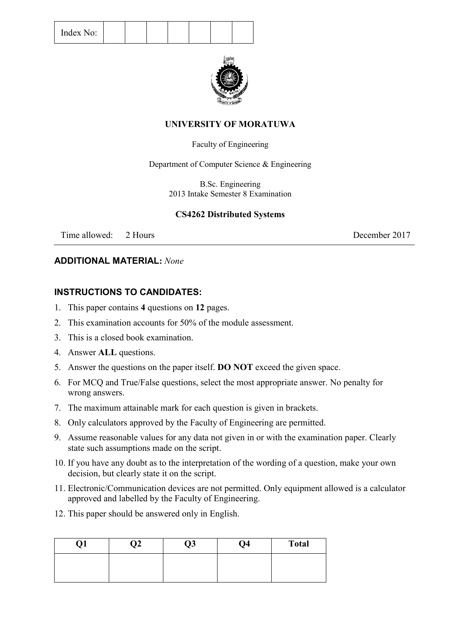| Index No: |  |  |  |  |
|-----------|--|--|--|--|
|-----------|--|--|--|--|



## **UNIVERSITY OF MORATUWA**

### Faculty of Engineering

Department of Computer Science & Engineering

B.Sc. Engineering 2013 Intake Semester 8 Examination

## **CS4262 Distributed Systems**

Time allowed: 2 Hours 2017

## **ADDITIONAL MATERIAL:** *None*

## **INSTRUCTIONS TO CANDIDATES:**

- 1. This paper contains **4** questions on **12** pages.
- 2. This examination accounts for 50% of the module assessment.
- 3. This is a closed book examination.
- 4. Answer **ALL** questions.
- 5. Answer the questions on the paper itself. **DO NOT** exceed the given space.
- 6. For MCQ and True/False questions, select the most appropriate answer. No penalty for wrong answers.
- 7. The maximum attainable mark for each question is given in brackets.
- 8. Only calculators approved by the Faculty of Engineering are permitted.
- 9. Assume reasonable values for any data not given in or with the examination paper. Clearly state such assumptions made on the script.
- 10. If you have any doubt as to the interpretation of the wording of a question, make your own decision, but clearly state it on the script.
- 11. Electronic/Communication devices are not permitted. Only equipment allowed is a calculator approved and labelled by the Faculty of Engineering.
- 12. This paper should be answered only in English.

| ,, | ገን ነ<br>,, | Q3 | Q <sub>4</sub> | <b>Total</b> |
|----|------------|----|----------------|--------------|
|    |            |    |                |              |
|    |            |    |                |              |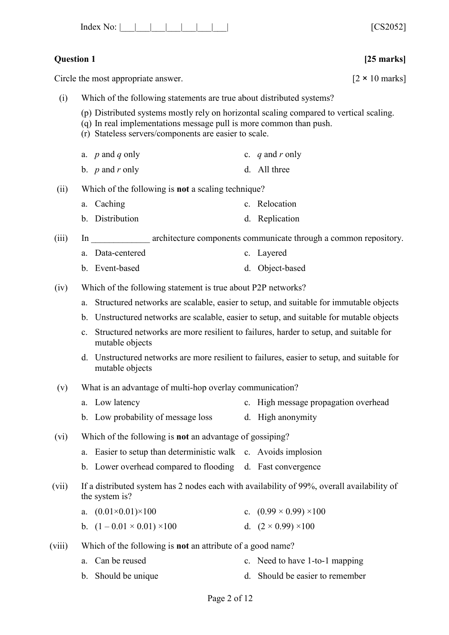| Index<br>N <sub>O</sub> : |  |  |  |  |  |  |  |  | FCOO0521<br>. 3 Z.V. J Z. I |  |
|---------------------------|--|--|--|--|--|--|--|--|-----------------------------|--|
|---------------------------|--|--|--|--|--|--|--|--|-----------------------------|--|

## **Question 1 [25 marks]**

Circle the most appropriate answer.  $[2 \times 10 \text{ marks}]$ 

- (i) Which of the following statements are true about distributed systems?
	- (p) Distributed systems mostly rely on horizontal scaling compared to vertical scaling.
	- (q) In real implementations message pull is more common than push.
	- (r) Stateless servers/components are easier to scale.
	- a. *p* and *q* only c. *q* and *r* only
	- b. *p* and *r* only d. All three

(ii) Which of the following is **not** a scaling technique?

- a. Caching c. Relocation
- b. Distribution d. Replication

(iii) In architecture components communicate through a common repository.

- a. Data-centered c. Layered
- b. Event-based d. Object-based
- (iv) Which of the following statement is true about P2P networks?
	- a. Structured networks are scalable, easier to setup, and suitable for immutable objects
	- b. Unstructured networks are scalable, easier to setup, and suitable for mutable objects
	- c. Structured networks are more resilient to failures, harder to setup, and suitable for mutable objects
	- d. Unstructured networks are more resilient to failures, easier to setup, and suitable for mutable objects
- (v) What is an advantage of multi-hop overlay communication?
	- a. Low latency c. High message propagation overhead
	- b. Low probability of message loss d. High anonymity
- (vi) Which of the following is **not** an advantage of gossiping?
	- a. Easier to setup than deterministic walk c. Avoids implosion
	- b. Lower overhead compared to flooding d. Fast convergence
- (vii) If a distributed system has 2 nodes each with availability of 99%, overall availability of the system is?

| a. $(0.01 \times 0.01) \times 100$   | c. $(0.99 \times 0.99) \times 100$ |
|--------------------------------------|------------------------------------|
| b. $(1-0.01 \times 0.01) \times 100$ | d. $(2 \times 0.99) \times 100$    |

- (viii) Which of the following is **not** an attribute of a good name?
	- a. Can be reused c. Need to have 1-to-1 mapping
	- b. Should be unique d. Should be easier to remember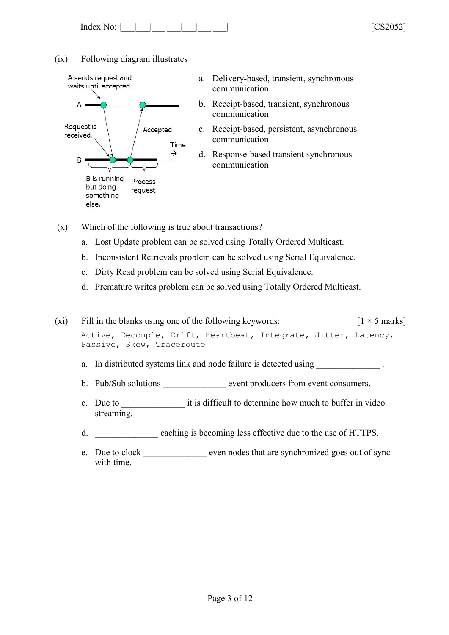| Index No: |  |  |  |  |  |  |  | $\mathbf{v}$ | FCOO0521 |
|-----------|--|--|--|--|--|--|--|--------------|----------|
|-----------|--|--|--|--|--|--|--|--------------|----------|

(ix) Following diagram illustrates



- a. Delivery-based, transient, synchronous communication
- b. Receipt-based, transient, synchronous communication
- c. Receipt-based, persistent, asynchronous communication
- d. Response-based transient synchronous communication
- (x) Which of the following is true about transactions?
	- a. Lost Update problem can be solved using Totally Ordered Multicast.
	- b. Inconsistent Retrievals problem can be solved using Serial Equivalence.
	- c. Dirty Read problem can be solved using Serial Equivalence.
	- d. Premature writes problem can be solved using Totally Ordered Multicast.

(xi) Fill in the blanks using one of the following keywords:  $\begin{bmatrix} 1 \times 5 \text{ marks} \end{bmatrix}$ Active, Decouple, Drift, Heartbeat, Integrate, Jitter, Latency, Passive, Skew, Traceroute

- a. In distributed systems link and node failure is detected using
- b. Pub/Sub solutions event producers from event consumers.
- c. Due to  $\cdot$  it is difficult to determine how much to buffer in video streaming.
- d. \_\_\_\_\_\_\_\_\_\_\_\_\_\_ caching is becoming less effective due to the use of HTTPS.
- e. Due to clock even nodes that are synchronized goes out of sync with time.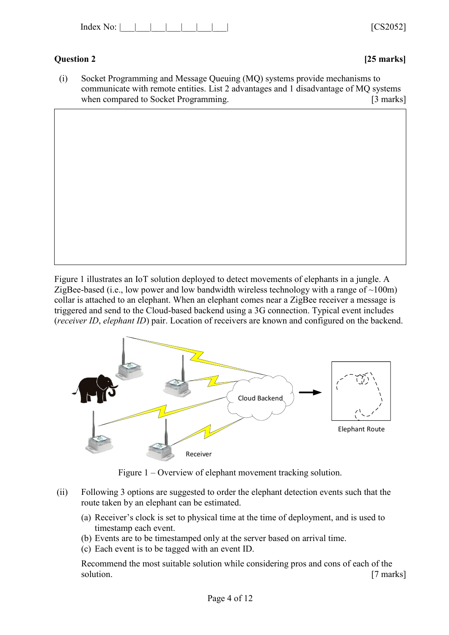| $\overline{\phantom{a}}$<br>Index<br>N <sub>O</sub> . |  | 1000000<br>$\mathbf{v}$<br>$\mathbf{v}$ |
|-------------------------------------------------------|--|-----------------------------------------|
|-------------------------------------------------------|--|-----------------------------------------|

## **Question 2 [25 marks]**

(i) Socket Programming and Message Queuing (MQ) systems provide mechanisms to communicate with remote entities. List 2 advantages and 1 disadvantage of MQ systems when compared to Socket Programming. [3 marks]

Figure 1 illustrates an IoT solution deployed to detect movements of elephants in a jungle. A ZigBee-based (i.e., low power and low bandwidth wireless technology with a range of  $\sim 100$ m) collar is attached to an elephant. When an elephant comes near a ZigBee receiver a message is triggered and send to the Cloud-based backend using a 3G connection. Typical event includes (*receiver ID*, *elephant ID*) pair. Location of receivers are known and configured on the backend.



Figure 1 – Overview of elephant movement tracking solution.

- (ii) Following 3 options are suggested to order the elephant detection events such that the route taken by an elephant can be estimated.
	- (a) Receiver's clock is set to physical time at the time of deployment, and is used to timestamp each event.
	- (b) Events are to be timestamped only at the server based on arrival time.
	- (c) Each event is to be tagged with an event ID.

Recommend the most suitable solution while considering pros and cons of each of the solution. [7 marks]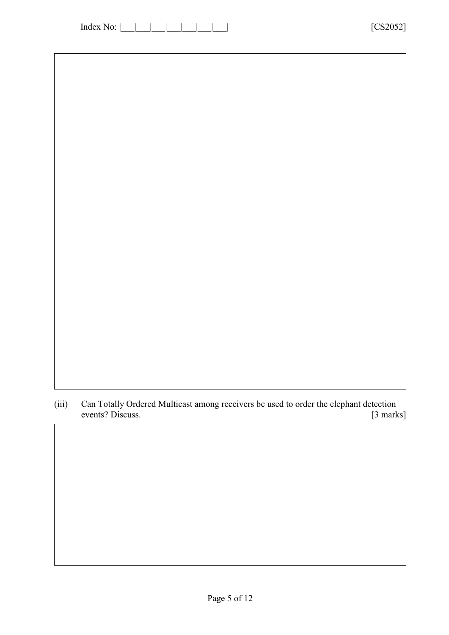(iii) Can Totally Ordered Multicast among receivers be used to order the elephant detection events? Discuss. [3 marks]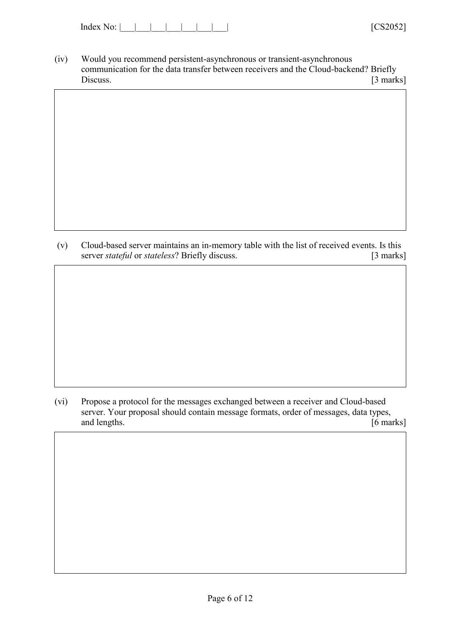| Index |  |  |  |
|-------|--|--|--|
|       |  |  |  |

- (iv) Would you recommend persistent-asynchronous or transient-asynchronous communication for the data transfer between receivers and the Cloud-backend? Briefly Discuss. [3 marks]
- 
- (v) Cloud-based server maintains an in-memory table with the list of received events. Is this server *stateful* or *stateless*? Briefly discuss. [3 marks]

(vi) Propose a protocol for the messages exchanged between a receiver and Cloud-based server. Your proposal should contain message formats, order of messages, data types, and lengths. [6 marks]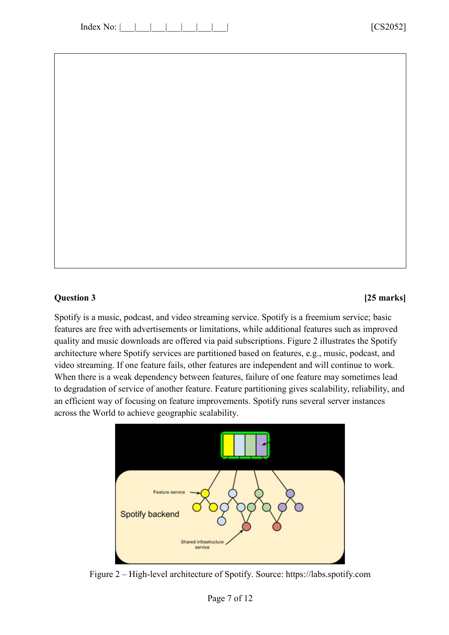### **Question 3 [25 marks]**

Spotify is a music, podcast, and video streaming service. Spotify is a freemium service; basic features are free with advertisements or limitations, while additional features such as improved quality and music downloads are offered via paid subscriptions. Figure 2 illustrates the Spotify architecture where Spotify services are partitioned based on features, e.g., music, podcast, and video streaming. If one feature fails, other features are independent and will continue to work. When there is a weak dependency between features, failure of one feature may sometimes lead to degradation of service of another feature. Feature partitioning gives scalability, reliability, and an efficient way of focusing on feature improvements. Spotify runs several server instances across the World to achieve geographic scalability.



Figure 2 – High-level architecture of Spotify. Source: https://labs.spotify.com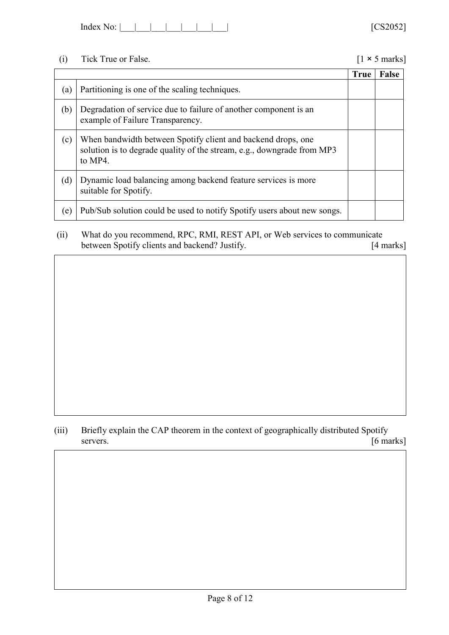| No:<br>Index |  |  |  |  |  |  |
|--------------|--|--|--|--|--|--|
|--------------|--|--|--|--|--|--|

# (i) Tick True or False. [1 × 5 marks]

|     |                                                                                                                                                   | <b>True</b> | <b>False</b> |
|-----|---------------------------------------------------------------------------------------------------------------------------------------------------|-------------|--------------|
| (a) | Partitioning is one of the scaling techniques.                                                                                                    |             |              |
| (b) | Degradation of service due to failure of another component is an<br>example of Failure Transparency.                                              |             |              |
| (c) | When bandwidth between Spotify client and backend drops, one<br>solution is to degrade quality of the stream, e.g., downgrade from MP3<br>to MP4. |             |              |
| (d) | Dynamic load balancing among backend feature services is more<br>suitable for Spotify.                                                            |             |              |
| (e) | Pub/Sub solution could be used to notify Spotify users about new songs.                                                                           |             |              |

(ii) What do you recommend, RPC, RMI, REST API, or Web services to communicate between Spotify clients and backend? Justify. [4 marks]

(iii) Briefly explain the CAP theorem in the context of geographically distributed Spotify servers. [6 marks]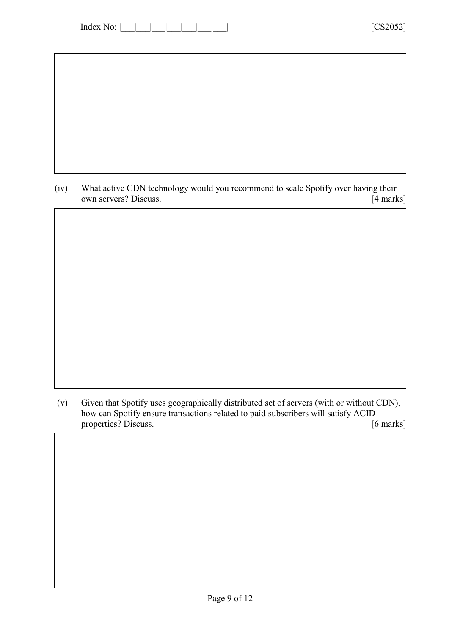| Index No: |  |  |  |
|-----------|--|--|--|
|-----------|--|--|--|

(iv) What active CDN technology would you recommend to scale Spotify over having their own servers? Discuss. [4 marks] own servers? Discuss.

(v) Given that Spotify uses geographically distributed set of servers (with or without CDN), how can Spotify ensure transactions related to paid subscribers will satisfy ACID properties? Discuss. [6 marks]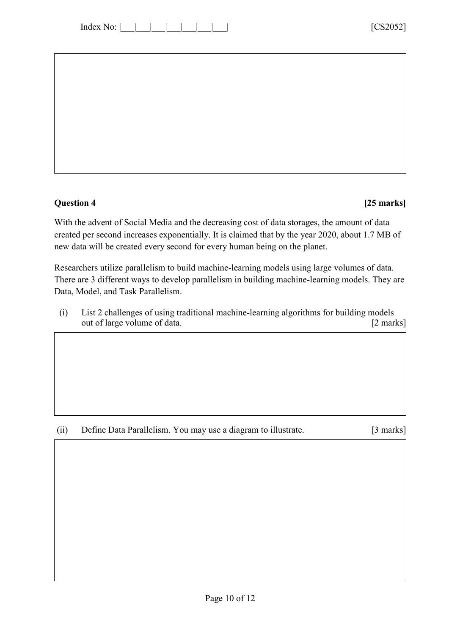| Index <sup>-</sup> |  |  |  |  |  |  |  |
|--------------------|--|--|--|--|--|--|--|
|--------------------|--|--|--|--|--|--|--|

## **Question 4 [25 marks]**

With the advent of Social Media and the decreasing cost of data storages, the amount of data created per second increases exponentially. It is claimed that by the year 2020, about 1.7 MB of new data will be created every second for every human being on the planet.

Researchers utilize parallelism to build machine-learning models using large volumes of data. There are 3 different ways to develop parallelism in building machine-learning models. They are Data, Model, and Task Parallelism.

(i) List 2 challenges of using traditional machine-learning algorithms for building models out of large volume of data. [2 marks]

(ii) Define Data Parallelism. You may use a diagram to illustrate. [3 marks]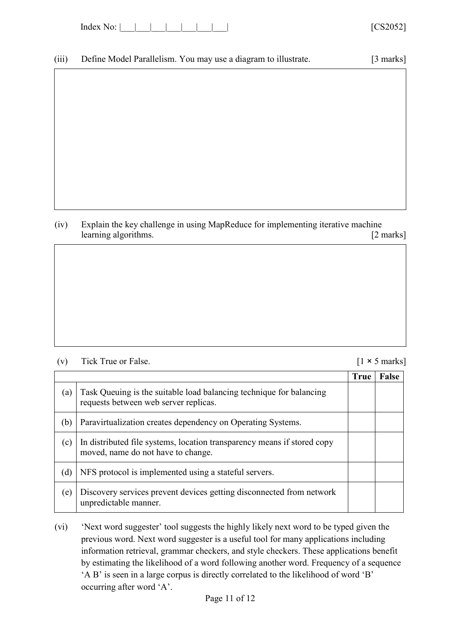| Index<br>.∩∙ |  |  |  |  |
|--------------|--|--|--|--|
|--------------|--|--|--|--|

(v) Tick True or False.

(iii) Define Model Parallelism. You may use a diagram to illustrate. [3 marks]

(iv) Explain the key challenge in using MapReduce for implementing iterative machine learning algorithms. [2 marks]

|  | $[1 \times 5 \text{ marks}]$ |
|--|------------------------------|

|     |                                                                                                               | <b>True</b> | <b>False</b> |
|-----|---------------------------------------------------------------------------------------------------------------|-------------|--------------|
| (a) | Task Queuing is the suitable load balancing technique for balancing<br>requests between web server replicas.  |             |              |
| (b) | Paravirtualization creates dependency on Operating Systems.                                                   |             |              |
| (c) | In distributed file systems, location transparency means if stored copy<br>moved, name do not have to change. |             |              |
| (d) | NFS protocol is implemented using a stateful servers.                                                         |             |              |
| (e) | Discovery services prevent devices getting disconnected from network<br>unpredictable manner.                 |             |              |

(vi) 'Next word suggester' tool suggests the highly likely next word to be typed given the previous word. Next word suggester is a useful tool for many applications including information retrieval, grammar checkers, and style checkers. These applications benefit by estimating the likelihood of a word following another word. Frequency of a sequence 'A B' is seen in a large corpus is directly correlated to the likelihood of word 'B' occurring after word 'A'.